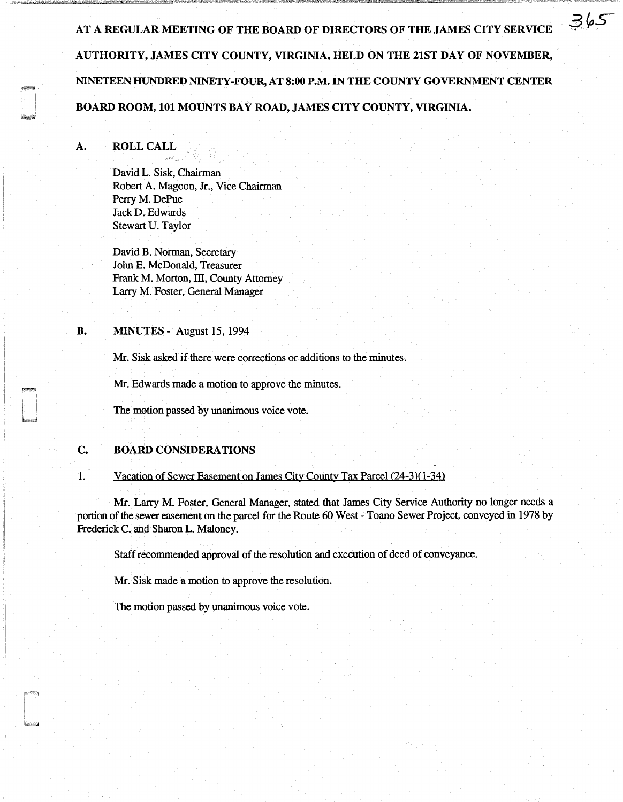AT A REGULAR MEETING OF THE BOARD OF DIRECTORS OF THE JAMES CITY SERVICE AUTHORITY, JAMES CITY COUNTY, VIRGINIA, HELD ON THE 21ST DAY OF NOVEMBER, NINETEEN HUNDRED NINETY-FOUR, AT 8:00 P.M. IN THE COUNTY GOVERNMENT CENTER BOARD ROOM, 101 MOUNTS BAY ROAD, JAMES CITY COUNTY, VIRGINIA.

 $365$ 

## A. ROLL CALL

David L. Sisk, Chairman Robert A. Magoon, Jr., Vice Chairman Perry M. DePue Jack D. Edwards Stewart U. Taylor

David B. Norman, Secretary John E. McDonald, Treasurer Frank M. Morton, III, County Attorney Larry M. Foster, General Manager

## **B. MINUTES** - August 15, 1994

Mr. Sisk asked if there were corrections or additions to the minutes.

Mr. Edwards made a motion to approve the minutes.

The motion passed by unanimous voice vote.

## C. BOARD CONSIDERATIONS

#### 1. Vacation of Sewer Easement on James City County Tax Parcel (24-3)(1-34)

Mr. Larry M. Foster, General Manager, stated that James City Service Authority no longer needs a portion of the sewer easement on the parcel for the Route 60 West - Toano Sewer Project, conveyed in 1978 by Frederick C. and Sharon L. Maloney.

Staff recommended approval of the resolution and execution of deed of conveyance.

Mr. Sisk made a motion to approve the resolution.

The motion passed by unanimous voice vote.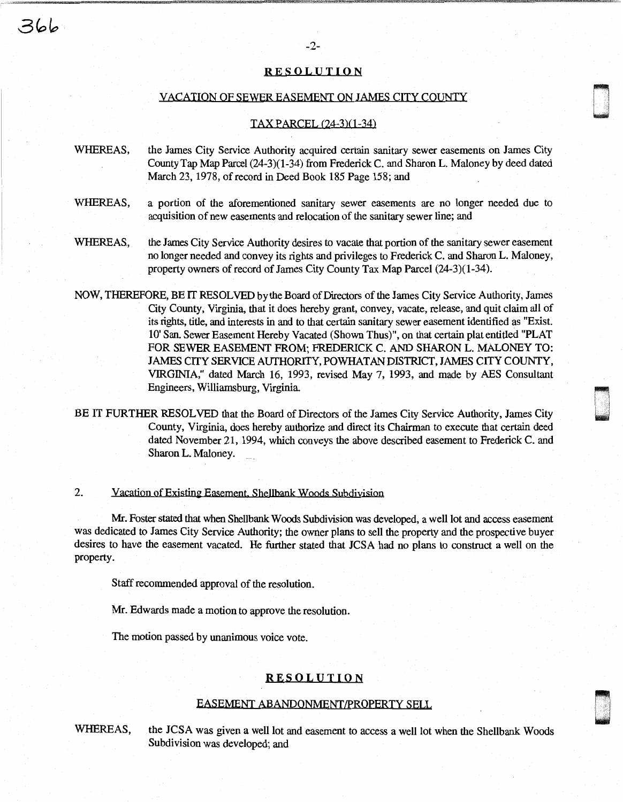## RESOLUTION

#### VACATION OF SEWER EASEMENT ON JAMES CITY COUNTY

n u

,

w

## TAX PARCEL (24-3)(1-34)

- WHEREAS, the James City Service Authority acquired certain sanitary sewer easements on James City County Tap Map Parcel (24-3)(1-34) from Frederick C. and Sharon L. Maloney by deed dated March 23, 1978, of record in Deed Book 185 Page 158; and
- WHEREAS, a portion of the aforementioned sanitary sewer easements are no longer needed due to acquisition of new easements and relocation of the sanitary sewer line; and
- WHEREAS, the James City Service Authority desires to vacate that portion of the sanitary sewer easement no longer needed and convey its rights and privileges to Frederick C. and Sharon L. Maloney, property owners of record of James City County Tax Map Parcel (24-3)(1-34).
- NOW, THEREFORE, BE IT RESOLVED by the Board of Directors of the James City Service Authority, James City County, Virginia, that it does hereby grant, convey, vacate, release, and quit claim all of its rights, title, and interests in and to that certain sanitary sewer easement identified as "Exist. 10' San. Sewer Easement Hereby Vacated (Shown Thus)", on that certain plat entitled "PLAT FOR SEWER EASEMENT FROM; FREDERICK C. AND SHARON L. MALONEY TO: JAMES CITY SERVICE AUTHORITY, POWHATAN DISTRICT, JAMES CITY COUNTY, VIRGINIA," dated March 16, 1993, revised May 7, 1993, and made by AES Consultant Engineers, Williamsburg, Virginia.
- BE IT FURTHER RESOLVED that the Board of Directors of the James City Service Authority, James City County, Virginia, does hereby authorize and direct its Chairman to execute that certain deed dated November 21, 1994, which conveys the above described easement to Frederick C. and Sharon L. Maloney.

## 2. Vacation of Existing Easement. Shellbank Woods Subdivision

Mr. Foster stated that when Shellbank Woods Subdivision was developed, a well lot and access easement was dedicated to James City Service Authority; the owner plans to sell the property and the prospective buyer desires to have the easement vacated. He further stated that JCSA had no plans to construct a well on the property.

Staff recommended approval of the resolution.

Mr. Edwards made a motion to approve the resolution.

The motion passed by unanimous voice vote.

## RESOLUTION

#### EASEMENT ABANPONMENT/PROPERIY SELL

WHEREAS, the JCSA was given a well lot and easement to access a well lot when the Shellbank Woods Subdivision was developed; and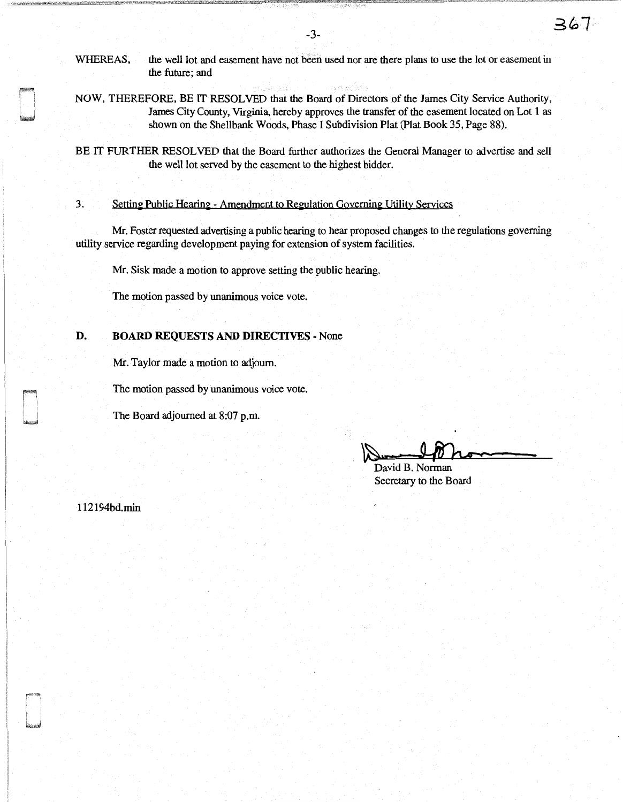WHEREAS, the well lot and easement have not been used nor are there plans to use the lot or easement in the future; and

NOW, THEREFORE, BE IT RESOLVED that the Board of Directors of the James City Service Authority, James City County, Virginia, hereby approves the transfer of the easement located on Lot 1 as shown on the Shellbank Woods, Phase I Subdivision Plat (Plat Book 35, Page 88).

BE IT FURTHER RESOLVED that the Board further authorizes the General Manager to advertise and sell the well lot served by the easement to the highest bidder.

# 3. Setting Public Hearing - Amendment to Regulation Governing Utility Services

Mr. Foster requested advertising a public hearing to hear proposed changes to the regulations governing utility service regarding development paying for extension of system facilities.

Mr. Sisk made a motion to approve setting the public hearing.

The motion passed by unanimous voice vote.

# **D. BOARD REQUESTS AND DIRECTIVES** - None

Mr. Taylor made a motion to adjourn.

The motion passed by unanimous voice vote.

The Board adjourned at 8:07 p.m.

~· David **B.** Norman of the Board

Secretary to the Board

112194bd.min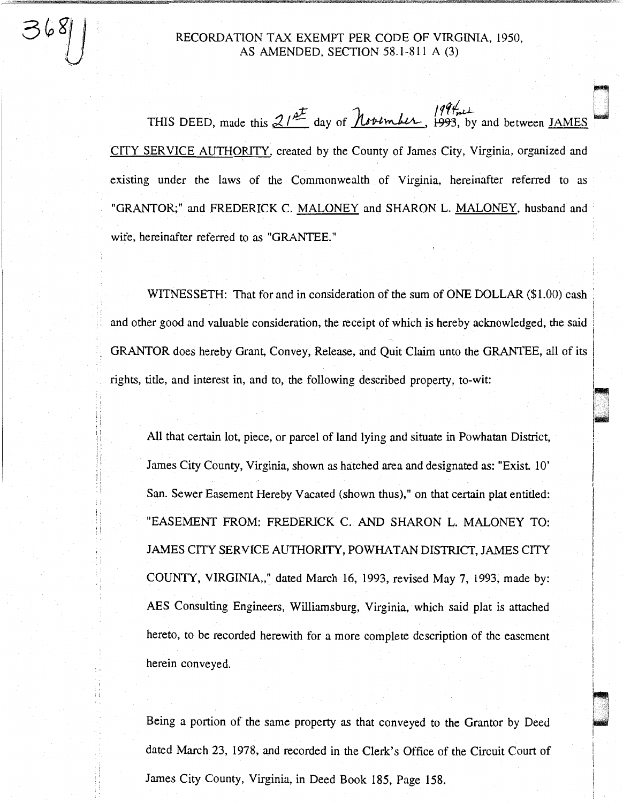RECORDATION TAX EXEMPT PER CODE OF VIRGINIA, 1950, AS AMENDED, SECTION 58.1-811 A (3)

ri

i 1

' .l l 1 • !

THIS DEED, made this  $21^{\frac{at}{2}}$  day of  $\hbar \nu +$  1993, by and between <u>JAMES</u> CITY SERVICE AUTHORITY, created by the County of James City, Virginia, organized and existing under the laws of the Commonwealth of Virginia, hereinafter referred to as "GRANTOR;" and FREDERICK C. MALONEY and SHARON L. MALONEY, husband and wife, hereinafter referred to as "GRANTEE."

WITNESSETH: That for and in consideration of the sum of ONE DOLLAR (\$1.00) cash and other good and valuable consideration, the receipt of which is hereby acknowledged, the said GRANTOR does hereby Grant, Convey, Release, and Quit Claim unto the GRANTEE, all of its rights, title, and interest in, and to, the following described property, to-wit:

: i  $\mathbb{I}$  i

6 X

 $\vdots$ '' · j

i; *:* ;

, I

All that certain lot, piece, or parcel of land lying and situate in Powhatan District, James City County, Virginia, shown as hatched area and designated as: "Exist 10' San. Sewer Easement Hereby Vacated (shown thus)," on that certain plat entitled: "EASEMENT FROM: FREDERICK C. AND SHARON L. MALONEY TO: JAMES CITY SERVICE AUTHORITY, POWHATAN DISTRICT, JAMES CITY COUNTY, VIRGINIA,," dated March 16, 1993, revised May 7, 1993, made by: AES Consulting Engineers, Williamsburg, Virginia, which said plat is attached hereto, to be recorded herewith for a more complete description of the easement herein conveyed.

Being a portion of the same property as that conveyed to the Grantor by Deed dated March 23, 1978, and recorded in the Clerk's Office of the Circuit Court of James City County, Virginia, in Deed Book 185, Page 158.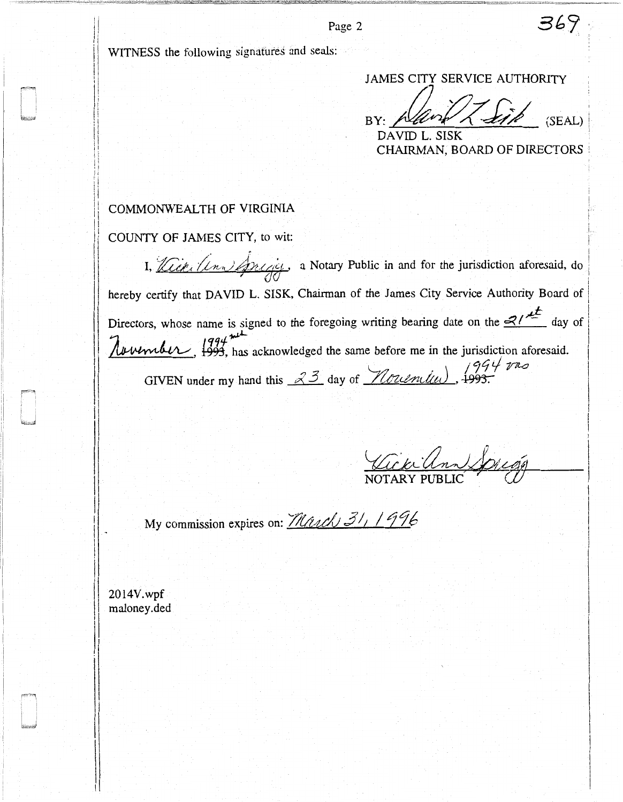WITNESS the following signatures and seals:

JAMES CITY SERVICE AUTHORITY

 $BY: \sqrt{d\nu}/\sqrt{d\ln^2\rho}$  (SEAL) DAVID L. SISK

CHAIRMAN, BOARD OF DIRECTORS :

369

# COMMONWEALTH OF VIRGINIA

COUNTY OF JAMES CITY, to wit:

I,  $\sqrt{Lct_L(Ln)}$   $\Delta$ Register, a Notary Public in and for the jurisdiction aforesaid, do hereby certify that DAVID L. SISK, Chairman of the James City Service Authority Board of Directors, whose name is signed to the foregoing writing bearing date on the  $\frac{d}{dx}$  day of  ${\cal A}$   ${\cal B}$   $\mu$   $\mu$   $\mu$   $\mu$  has acknowledged the same before me in the jurisdiction aforesaid. GIVEN under my hand this  $\frac{33}{100}$  day of  $\frac{7}{30}$  and  $\frac{1993}{1000}$ .

Vickilm Spiegg

My commission expires on: *<i>March* 31, 1996

2014V.wpf maloney.ded

! !

11  $\overline{\phantom{a}}$ 

:1  $\mathbb{I}$  $\mathbb{I}$ 

:1 .I Page 2